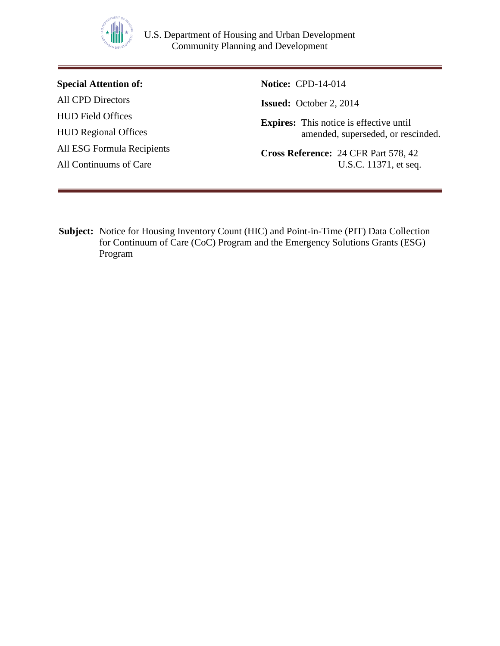

**Special Attention of:** All CPD Directors HUD Field Offices HUD Regional Offices All ESG Formula Recipients All Continuums of Care

**Notice:** CPD-14-014

**Issued:** October 2, 2014

**Expires:** This notice is effective until amended, superseded, or rescinded.

**Cross Reference:** 24 CFR Part 578, 42 U.S.C. 11371, et seq.

**Subject:** Notice for Housing Inventory Count (HIC) and Point-in-Time (PIT) Data Collection for Continuum of Care (CoC) Program and the Emergency Solutions Grants (ESG) Program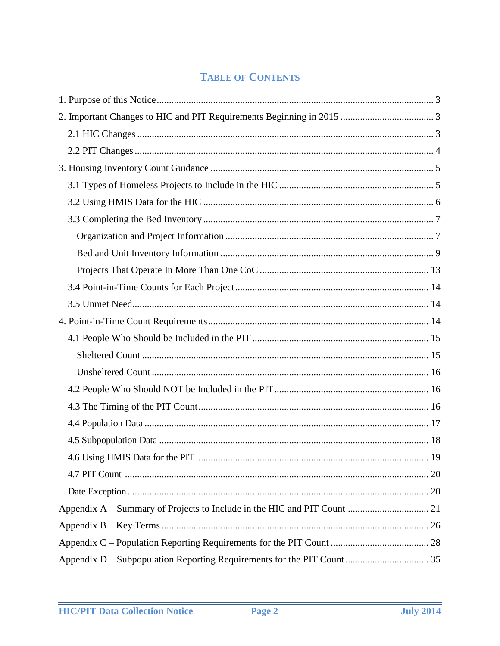# **TABLE OF CONTENTS**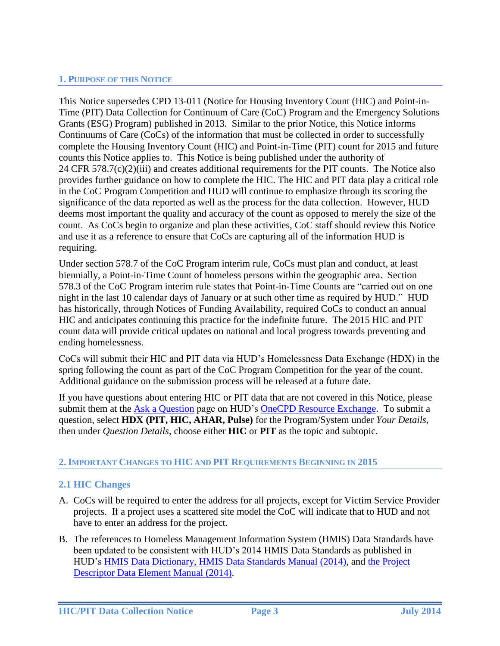### <span id="page-2-0"></span>**1. PURPOSE OF THIS NOTICE**

This Notice supersedes CPD 13-011 (Notice for Housing Inventory Count (HIC) and Point-in-Time (PIT) Data Collection for Continuum of Care (CoC) Program and the Emergency Solutions Grants (ESG) Program) published in 2013. Similar to the prior Notice, this Notice informs Continuums of Care (CoCs) of the information that must be collected in order to successfully complete the Housing Inventory Count (HIC) and Point-in-Time (PIT) count for 2015 and future counts this Notice applies to. This Notice is being published under the authority of 24 CFR 578.7(c)(2)(iii) and creates additional requirements for the PIT counts. The Notice also provides further guidance on how to complete the HIC. The HIC and PIT data play a critical role in the CoC Program Competition and HUD will continue to emphasize through its scoring the significance of the data reported as well as the process for the data collection. However, HUD deems most important the quality and accuracy of the count as opposed to merely the size of the count. As CoCs begin to organize and plan these activities, CoC staff should review this Notice and use it as a reference to ensure that CoCs are capturing all of the information HUD is requiring.

Under section 578.7 of the CoC Program interim rule, CoCs must plan and conduct, at least biennially, a Point-in-Time Count of homeless persons within the geographic area. Section 578.3 of the CoC Program interim rule states that Point-in-Time Counts are "carried out on one night in the last 10 calendar days of January or at such other time as required by HUD." HUD has historically, through Notices of Funding Availability, required CoCs to conduct an annual HIC and anticipates continuing this practice for the indefinite future. The 2015 HIC and PIT count data will provide critical updates on national and local progress towards preventing and ending homelessness.

CoCs will submit their HIC and PIT data via HUD's Homelessness Data Exchange (HDX) in the spring following the count as part of the CoC Program Competition for the year of the count. Additional guidance on the submission process will be released at a future date.

If you have questions about entering HIC or PIT data that are not covered in this Notice, please submit them at the [Ask a Question](https://www.onecpd.info/ask-a-question/my-question/) page on HUD's [OneCPD Resource Exchange.](https://www.onecpd.info/) To submit a question, select **HDX (PIT, HIC, AHAR, Pulse)** for the Program/System under *Your Details*, then under *Question Details*, choose either **HIC** or **PIT** as the topic and subtopic.

### <span id="page-2-1"></span>**2. IMPORTANT CHANGES TO HIC AND PIT REQUIREMENTS BEGINNING IN 2015**

### <span id="page-2-2"></span>**2.1 HIC Changes**

- A. CoCs will be required to enter the address for all projects, except for Victim Service Provider projects. If a project uses a scattered site model the CoC will indicate that to HUD and not have to enter an address for the project.
- B. The references to Homeless Management Information System (HMIS) Data Standards have been updated to be consistent with HUD's 2014 HMIS Data Standards as published in HUD's [HMIS Data Dictionary,](https://www.onecpd.info/resource/3824/hmis-data-dictionary/) [HMIS Data Standards Manual \(2014\),](https://www.hudexchange.info/resource/3826/hmis-data-standards-manual/) and [the Project](https://www.hudexchange.info/resource/4055/hmis-project-descriptor-data-elements-manual/)  [Descriptor Data Element Manual](https://www.hudexchange.info/resource/4055/hmis-project-descriptor-data-elements-manual/) (2014).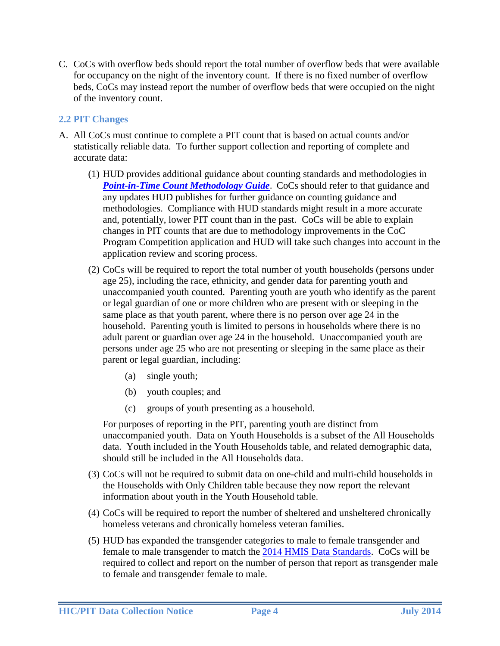C. CoCs with overflow beds should report the total number of overflow beds that were available for occupancy on the night of the inventory count. If there is no fixed number of overflow beds, CoCs may instead report the number of overflow beds that were occupied on the night of the inventory count.

### <span id="page-3-0"></span>**2.2 PIT Changes**

- A. All CoCs must continue to complete a PIT count that is based on actual counts and/or statistically reliable data. To further support collection and reporting of complete and accurate data:
	- (1) HUD provides additional guidance about counting standards and methodologies in **Point-in-Time Count Methodology Guide**. CoCs should refer to that guidance and any updates HUD publishes for further guidance on counting guidance and methodologies. Compliance with HUD standards might result in a more accurate and, potentially, lower PIT count than in the past. CoCs will be able to explain changes in PIT counts that are due to methodology improvements in the CoC Program Competition application and HUD will take such changes into account in the application review and scoring process.
	- (2) CoCs will be required to report the total number of youth households (persons under age 25), including the race, ethnicity, and gender data for parenting youth and unaccompanied youth counted. Parenting youth are youth who identify as the parent or legal guardian of one or more children who are present with or sleeping in the same place as that youth parent, where there is no person over age 24 in the household. Parenting youth is limited to persons in households where there is no adult parent or guardian over age 24 in the household. Unaccompanied youth are persons under age 25 who are not presenting or sleeping in the same place as their parent or legal guardian, including:
		- (a) single youth;
		- (b) youth couples; and
		- (c) groups of youth presenting as a household.

For purposes of reporting in the PIT, parenting youth are distinct from unaccompanied youth. Data on Youth Households is a subset of the All Households data. Youth included in the Youth Households table, and related demographic data, should still be included in the All Households data.

- (3) CoCs will not be required to submit data on one-child and multi-child households in the Households with Only Children table because they now report the relevant information about youth in the Youth Household table.
- (4) CoCs will be required to report the number of sheltered and unsheltered chronically homeless veterans and chronically homeless veteran families.
- (5) HUD has expanded the transgender categories to male to female transgender and female to male transgender to match the [2014 HMIS Data Standards.](https://www.hudexchange.info/resource/3826/hmis-data-standards-manual/) CoCs will be required to collect and report on the number of person that report as transgender male to female and transgender female to male.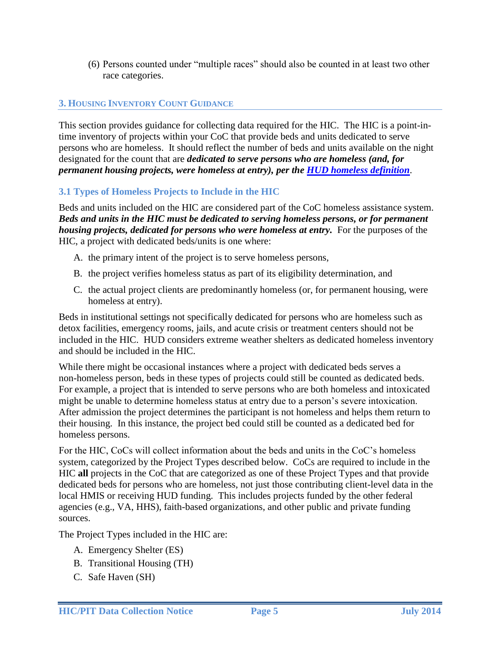(6) Persons counted under "multiple races" should also be counted in at least two other race categories.

### <span id="page-4-0"></span>**3. HOUSING INVENTORY COUNT GUIDANCE**

This section provides guidance for collecting data required for the HIC. The HIC is a point-intime inventory of projects within your CoC that provide beds and units dedicated to serve persons who are homeless. It should reflect the number of beds and units available on the night designated for the count that are *dedicated to serve persons who are homeless (and, for permanent housing projects, were homeless at entry), per the [HUD homeless definition](https://www.onecpd.info/resource/1928/hearth-defining-homeless-final-rule/)*.

### <span id="page-4-1"></span>**3.1 Types of Homeless Projects to Include in the HIC**

Beds and units included on the HIC are considered part of the CoC homeless assistance system. *Beds and units in the HIC must be dedicated to serving homeless persons, or for permanent housing projects, dedicated for persons who were homeless at entry.* For the purposes of the HIC, a project with dedicated beds/units is one where:

- A. the primary intent of the project is to serve homeless persons,
- B. the project verifies homeless status as part of its eligibility determination, and
- C. the actual project clients are predominantly homeless (or, for permanent housing, were homeless at entry).

Beds in institutional settings not specifically dedicated for persons who are homeless such as detox facilities, emergency rooms, jails, and acute crisis or treatment centers should not be included in the HIC. HUD considers extreme weather shelters as dedicated homeless inventory and should be included in the HIC.

While there might be occasional instances where a project with dedicated beds serves a non-homeless person, beds in these types of projects could still be counted as dedicated beds. For example, a project that is intended to serve persons who are both homeless and intoxicated might be unable to determine homeless status at entry due to a person's severe intoxication. After admission the project determines the participant is not homeless and helps them return to their housing. In this instance, the project bed could still be counted as a dedicated bed for homeless persons.

For the HIC, CoCs will collect information about the beds and units in the CoC's homeless system, categorized by the Project Types described below. CoCs are required to include in the HIC **all** projects in the CoC that are categorized as one of these Project Types and that provide dedicated beds for persons who are homeless, not just those contributing client-level data in the local HMIS or receiving HUD funding. This includes projects funded by the other federal agencies (e.g., VA, HHS), faith-based organizations, and other public and private funding sources.

The Project Types included in the HIC are:

- A. Emergency Shelter (ES)
- B. Transitional Housing (TH)
- C. Safe Haven (SH)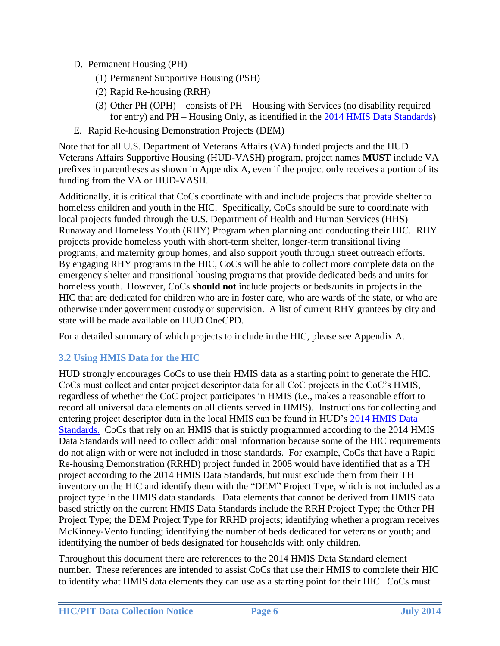- D. Permanent Housing (PH)
	- (1) Permanent Supportive Housing (PSH)
	- (2) Rapid Re-housing (RRH)
	- (3) Other PH (OPH) consists of PH Housing with Services (no disability required for entry) and PH – Housing Only, as identified in the [2014 HMIS Data Standards\)](https://www.hudexchange.info/resources/documents/HMIS-Data-Dictionary.pdf)
- E. Rapid Re-housing Demonstration Projects (DEM)

Note that for all U.S. Department of Veterans Affairs (VA) funded projects and the HUD Veterans Affairs Supportive Housing (HUD-VASH) program, project names **MUST** include VA prefixes in parentheses as shown in Appendix A, even if the project only receives a portion of its funding from the VA or HUD-VASH.

Additionally, it is critical that CoCs coordinate with and include projects that provide shelter to homeless children and youth in the HIC. Specifically, CoCs should be sure to coordinate with local projects funded through the U.S. Department of Health and Human Services (HHS) Runaway and Homeless Youth (RHY) Program when planning and conducting their HIC. RHY projects provide homeless youth with short-term shelter, longer-term transitional living programs, and maternity group homes, and also support youth through street outreach efforts. By engaging RHY programs in the HIC, CoCs will be able to collect more complete data on the emergency shelter and transitional housing programs that provide dedicated beds and units for homeless youth. However, CoCs **should not** include projects or beds/units in projects in the HIC that are dedicated for children who are in foster care, who are wards of the state, or who are otherwise under government custody or supervision. A list of current RHY grantees by city and state will be made available on HUD OneCPD.

For a detailed summary of which projects to include in the HIC, please see Appendix A.

## <span id="page-5-0"></span>**3.2 Using HMIS Data for the HIC**

HUD strongly encourages CoCs to use their HMIS data as a starting point to generate the HIC. CoCs must collect and enter project descriptor data for all CoC projects in the CoC's HMIS, regardless of whether the CoC project participates in HMIS (i.e., makes a reasonable effort to record all universal data elements on all clients served in HMIS). Instructions for collecting and entering project descriptor data in the local HMIS can be found in HUD's [2014 HMIS Data](https://www.onecpd.info/resource/3824/hmis-data-dictionary/)  [Standards.](https://www.onecpd.info/resource/3824/hmis-data-dictionary/) CoCs that rely on an HMIS that is strictly programmed according to the 2014 HMIS Data Standards will need to collect additional information because some of the HIC requirements do not align with or were not included in those standards. For example, CoCs that have a Rapid Re-housing Demonstration (RRHD) project funded in 2008 would have identified that as a TH project according to the 2014 HMIS Data Standards, but must exclude them from their TH inventory on the HIC and identify them with the "DEM" Project Type, which is not included as a project type in the HMIS data standards. Data elements that cannot be derived from HMIS data based strictly on the current HMIS Data Standards include the RRH Project Type; the Other PH Project Type; the DEM Project Type for RRHD projects; identifying whether a program receives McKinney-Vento funding; identifying the number of beds dedicated for veterans or youth; and identifying the number of beds designated for households with only children.

Throughout this document there are references to the 2014 HMIS Data Standard element number. These references are intended to assist CoCs that use their HMIS to complete their HIC to identify what HMIS data elements they can use as a starting point for their HIC. CoCs must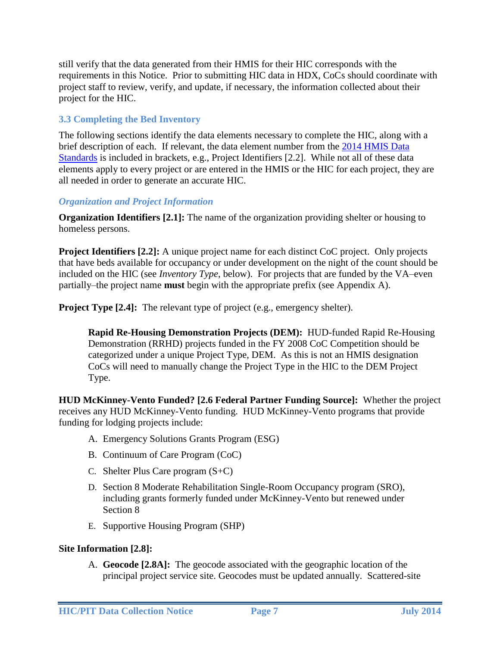still verify that the data generated from their HMIS for their HIC corresponds with the requirements in this Notice. Prior to submitting HIC data in HDX, CoCs should coordinate with project staff to review, verify, and update, if necessary, the information collected about their project for the HIC.

### <span id="page-6-0"></span>**3.3 Completing the Bed Inventory**

The following sections identify the data elements necessary to complete the HIC, along with a brief description of each. If relevant, the data element number from the 2014 [HMIS Data](https://www.hudexchange.info/resource/4055/hmis-project-descriptor-data-elements-manual/)  [Standards](https://www.hudexchange.info/resource/4055/hmis-project-descriptor-data-elements-manual/) is included in brackets, e.g., Project Identifiers [2.2]. While not all of these data elements apply to every project or are entered in the HMIS or the HIC for each project, they are all needed in order to generate an accurate HIC.

### <span id="page-6-1"></span>*Organization and Project Information*

**Organization Identifiers [2.1]:** The name of the organization providing shelter or housing to homeless persons.

**Project Identifiers [2.2]:** A unique project name for each distinct CoC project. Only projects that have beds available for occupancy or under development on the night of the count should be included on the HIC (see *Inventory Type*, below). For projects that are funded by the VA–even partially–the project name **must** begin with the appropriate prefix (see Appendix A).

**Project Type [2.4]:** The relevant type of project (e.g., emergency shelter).

**Rapid Re-Housing Demonstration Projects (DEM):** HUD-funded Rapid Re-Housing Demonstration (RRHD) projects funded in the FY 2008 CoC Competition should be categorized under a unique Project Type, DEM. As this is not an HMIS designation CoCs will need to manually change the Project Type in the HIC to the DEM Project Type.

**HUD McKinney-Vento Funded? [2.6 Federal Partner Funding Source]:** Whether the project receives any HUD McKinney-Vento funding. HUD McKinney-Vento programs that provide funding for lodging projects include:

- A. Emergency Solutions Grants Program (ESG)
- B. Continuum of Care Program (CoC)
- C. Shelter Plus Care program (S+C)
- D. Section 8 Moderate Rehabilitation Single-Room Occupancy program (SRO), including grants formerly funded under McKinney-Vento but renewed under Section 8
- E. Supportive Housing Program (SHP)

### **Site Information [2.8]:**

A. **Geocode [2.8A]:** The geocode associated with the geographic location of the principal project service site. Geocodes must be updated annually. Scattered-site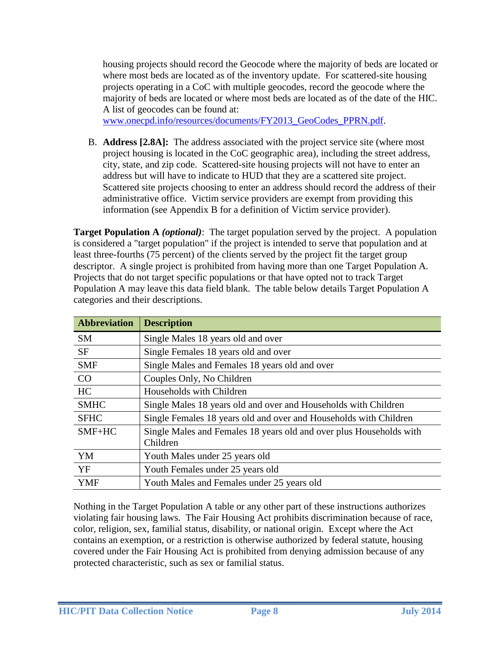housing projects should record the Geocode where the majority of beds are located or where most beds are located as of the inventory update. For scattered-site housing projects operating in a CoC with multiple geocodes, record the geocode where the majority of beds are located or where most beds are located as of the date of the HIC. A list of geocodes can be found at:

[www.onecpd.info/resources/documents/FY2013\\_GeoCodes\\_PPRN.pdf.](http://www.onecpd.info/resources/documents/FY2013_GeoCodes_PPRN.pdf)

B. **Address [2.8A]:** The address associated with the project service site (where most project housing is located in the CoC geographic area), including the street address, city, state, and zip code. Scattered-site housing projects will not have to enter an address but will have to indicate to HUD that they are a scattered site project. Scattered site projects choosing to enter an address should record the address of their administrative office. Victim service providers are exempt from providing this information (see Appendix B for a definition of Victim service provider).

**Target Population A** *(optional)*: The target population served by the project. A population is considered a "target population" if the project is intended to serve that population and at least three-fourths (75 percent) of the clients served by the project fit the target group descriptor. A single project is prohibited from having more than one Target Population A. Projects that do not target specific populations or that have opted not to track Target Population A may leave this data field blank. The table below details Target Population A categories and their descriptions.

| <b>Abbreviation</b> | <b>Description</b>                                                              |
|---------------------|---------------------------------------------------------------------------------|
| <b>SM</b>           | Single Males 18 years old and over                                              |
| <b>SF</b>           | Single Females 18 years old and over                                            |
| <b>SMF</b>          | Single Males and Females 18 years old and over                                  |
| CO                  | Couples Only, No Children                                                       |
| HC                  | Households with Children                                                        |
| <b>SMHC</b>         | Single Males 18 years old and over and Households with Children                 |
| <b>SFHC</b>         | Single Females 18 years old and over and Households with Children               |
| $SMF+HC$            | Single Males and Females 18 years old and over plus Households with<br>Children |
| YM                  | Youth Males under 25 years old                                                  |
| <b>YF</b>           | Youth Females under 25 years old                                                |
| <b>YMF</b>          | Youth Males and Females under 25 years old                                      |

Nothing in the Target Population A table or any other part of these instructions authorizes violating fair housing laws. The Fair Housing Act prohibits discrimination because of race, color, religion, sex, familial status, disability, or national origin. Except where the Act contains an exemption, or a restriction is otherwise authorized by federal statute, housing covered under the Fair Housing Act is prohibited from denying admission because of any protected characteristic, such as sex or familial status.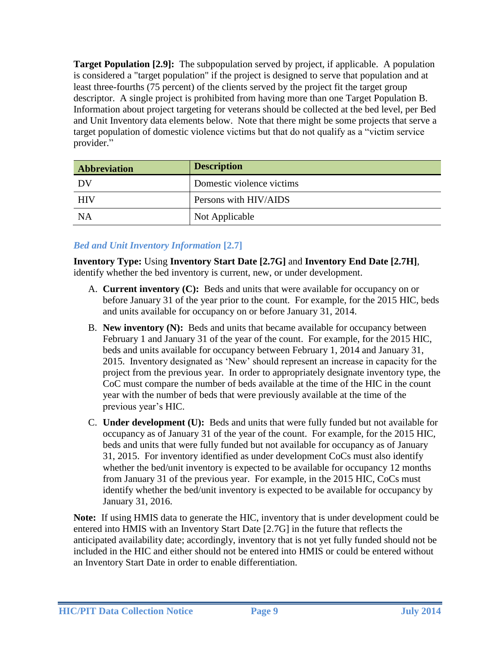**Target Population [2.9]:** The subpopulation served by project, if applicable. A population is considered a "target population" if the project is designed to serve that population and at least three-fourths (75 percent) of the clients served by the project fit the target group descriptor. A single project is prohibited from having more than one Target Population B. Information about project targeting for veterans should be collected at the bed level, per Bed and Unit Inventory data elements below. Note that there might be some projects that serve a target population of domestic violence victims but that do not qualify as a "victim service provider."

| <b>Abbreviation</b> | <b>Description</b>        |
|---------------------|---------------------------|
| DV                  | Domestic violence victims |
| HIV                 | Persons with HIV/AIDS     |
| <b>NA</b>           | Not Applicable            |

## <span id="page-8-0"></span>*Bed and Unit Inventory Information* **[2.7]**

**Inventory Type:** Using **Inventory Start Date [2.7G]** and **Inventory End Date [2.7H]**, identify whether the bed inventory is current, new, or under development.

- A. **Current inventory (C):** Beds and units that were available for occupancy on or before January 31 of the year prior to the count. For example, for the 2015 HIC, beds and units available for occupancy on or before January 31, 2014.
- B. **New inventory (N):** Beds and units that became available for occupancy between February 1 and January 31 of the year of the count. For example, for the 2015 HIC, beds and units available for occupancy between February 1, 2014 and January 31, 2015. Inventory designated as 'New' should represent an increase in capacity for the project from the previous year. In order to appropriately designate inventory type, the CoC must compare the number of beds available at the time of the HIC in the count year with the number of beds that were previously available at the time of the previous year's HIC.
- C. **Under development (U):** Beds and units that were fully funded but not available for occupancy as of January 31 of the year of the count. For example, for the 2015 HIC, beds and units that were fully funded but not available for occupancy as of January 31, 2015. For inventory identified as under development CoCs must also identify whether the bed/unit inventory is expected to be available for occupancy 12 months from January 31 of the previous year. For example, in the 2015 HIC, CoCs must identify whether the bed/unit inventory is expected to be available for occupancy by January 31, 2016.

**Note:** If using HMIS data to generate the HIC, inventory that is under development could be entered into HMIS with an Inventory Start Date [2.7G] in the future that reflects the anticipated availability date; accordingly, inventory that is not yet fully funded should not be included in the HIC and either should not be entered into HMIS or could be entered without an Inventory Start Date in order to enable differentiation.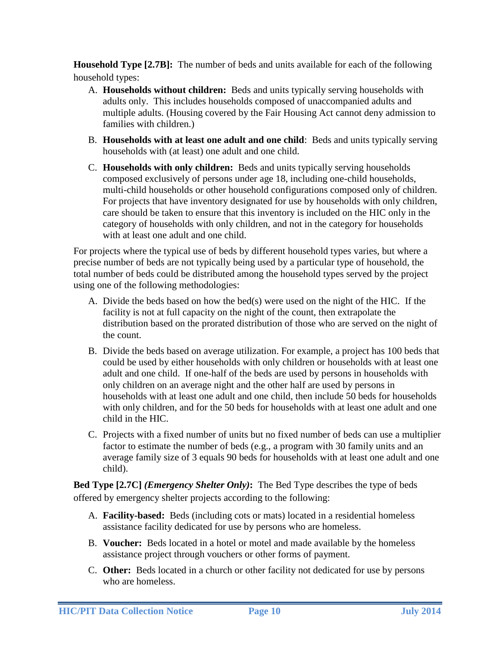**Household Type [2.7B]:** The number of beds and units available for each of the following household types:

- A. **Households without children:** Beds and units typically serving households with adults only. This includes households composed of unaccompanied adults and multiple adults. (Housing covered by the Fair Housing Act cannot deny admission to families with children.)
- B. **Households with at least one adult and one child**: Beds and units typically serving households with (at least) one adult and one child.
- C. **Households with only children:** Beds and units typically serving households composed exclusively of persons under age 18, including one-child households, multi-child households or other household configurations composed only of children. For projects that have inventory designated for use by households with only children, care should be taken to ensure that this inventory is included on the HIC only in the category of households with only children, and not in the category for households with at least one adult and one child.

For projects where the typical use of beds by different household types varies, but where a precise number of beds are not typically being used by a particular type of household, the total number of beds could be distributed among the household types served by the project using one of the following methodologies:

- A. Divide the beds based on how the bed(s) were used on the night of the HIC. If the facility is not at full capacity on the night of the count, then extrapolate the distribution based on the prorated distribution of those who are served on the night of the count.
- B. Divide the beds based on average utilization. For example, a project has 100 beds that could be used by either households with only children or households with at least one adult and one child. If one-half of the beds are used by persons in households with only children on an average night and the other half are used by persons in households with at least one adult and one child, then include 50 beds for households with only children, and for the 50 beds for households with at least one adult and one child in the HIC.
- C. Projects with a fixed number of units but no fixed number of beds can use a multiplier factor to estimate the number of beds (e.g., a program with 30 family units and an average family size of 3 equals 90 beds for households with at least one adult and one child).

**Bed Type [2.7C]** *(Emergency Shelter Only)***:** The Bed Type describes the type of beds offered by emergency shelter projects according to the following:

- A. **Facility-based:** Beds (including cots or mats) located in a residential homeless assistance facility dedicated for use by persons who are homeless.
- B. **Voucher:** Beds located in a hotel or motel and made available by the homeless assistance project through vouchers or other forms of payment.
- C. **Other:** Beds located in a church or other facility not dedicated for use by persons who are homeless.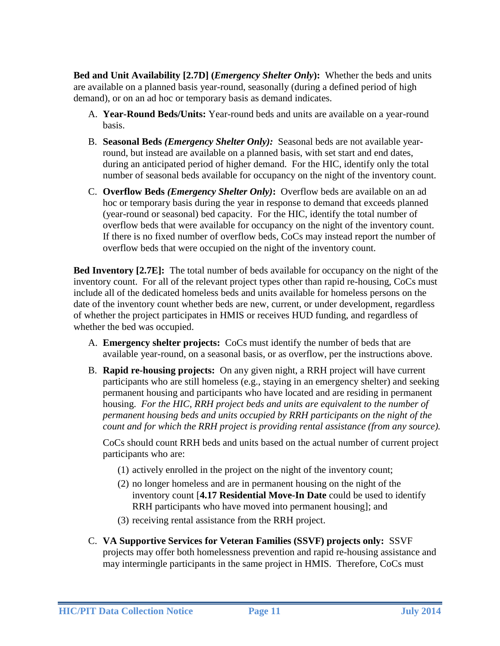**Bed and Unit Availability [2.7D] (***Emergency Shelter Only***):** Whether the beds and units are available on a planned basis year-round, seasonally (during a defined period of high demand), or on an ad hoc or temporary basis as demand indicates.

- A. **Year-Round Beds/Units:** Year-round beds and units are available on a year-round basis.
- B. **Seasonal Beds** *(Emergency Shelter Only):* Seasonal beds are not available yearround, but instead are available on a planned basis, with set start and end dates, during an anticipated period of higher demand. For the HIC, identify only the total number of seasonal beds available for occupancy on the night of the inventory count.
- C. **Overflow Beds** *(Emergency Shelter Only)***:** Overflow beds are available on an ad hoc or temporary basis during the year in response to demand that exceeds planned (year-round or seasonal) bed capacity. For the HIC, identify the total number of overflow beds that were available for occupancy on the night of the inventory count. If there is no fixed number of overflow beds, CoCs may instead report the number of overflow beds that were occupied on the night of the inventory count.

**Bed Inventory [2.7E]:** The total number of beds available for occupancy on the night of the inventory count. For all of the relevant project types other than rapid re-housing, CoCs must include all of the dedicated homeless beds and units available for homeless persons on the date of the inventory count whether beds are new, current, or under development, regardless of whether the project participates in HMIS or receives HUD funding, and regardless of whether the bed was occupied.

- A. **Emergency shelter projects:** CoCs must identify the number of beds that are available year-round, on a seasonal basis, or as overflow, per the instructions above.
- B. **Rapid re-housing projects:** On any given night, a RRH project will have current participants who are still homeless (e.g., staying in an emergency shelter) and seeking permanent housing and participants who have located and are residing in permanent housing. *For the HIC, RRH project beds and units are equivalent to the number of permanent housing beds and units occupied by RRH participants on the night of the count and for which the RRH project is providing rental assistance (from any source).*

CoCs should count RRH beds and units based on the actual number of current project participants who are:

- (1) actively enrolled in the project on the night of the inventory count;
- (2) no longer homeless and are in permanent housing on the night of the inventory count [**4.17 Residential Move-In Date** could be used to identify RRH participants who have moved into permanent housing]; and
- (3) receiving rental assistance from the RRH project.
- C. **VA Supportive Services for Veteran Families (SSVF) projects only:** SSVF projects may offer both homelessness prevention and rapid re-housing assistance and may intermingle participants in the same project in HMIS. Therefore, CoCs must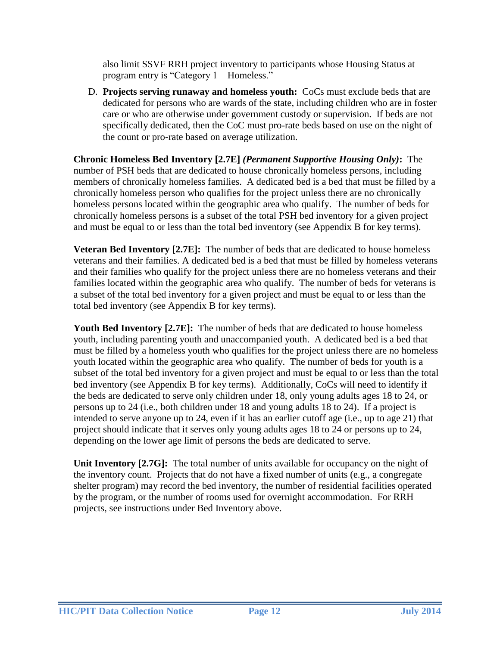also limit SSVF RRH project inventory to participants whose Housing Status at program entry is "Category 1 – Homeless."

D. **Projects serving runaway and homeless youth:** CoCs must exclude beds that are dedicated for persons who are wards of the state, including children who are in foster care or who are otherwise under government custody or supervision. If beds are not specifically dedicated, then the CoC must pro-rate beds based on use on the night of the count or pro-rate based on average utilization.

**Chronic Homeless Bed Inventory [2.7E]** *(Permanent Supportive Housing Only)***:** The number of PSH beds that are dedicated to house chronically homeless persons, including members of chronically homeless families. A dedicated bed is a bed that must be filled by a chronically homeless person who qualifies for the project unless there are no chronically homeless persons located within the geographic area who qualify. The number of beds for chronically homeless persons is a subset of the total PSH bed inventory for a given project and must be equal to or less than the total bed inventory (see Appendix B for key terms).

**Veteran Bed Inventory [2.7E]:** The number of beds that are dedicated to house homeless veterans and their families. A dedicated bed is a bed that must be filled by homeless veterans and their families who qualify for the project unless there are no homeless veterans and their families located within the geographic area who qualify. The number of beds for veterans is a subset of the total bed inventory for a given project and must be equal to or less than the total bed inventory (see Appendix B for key terms).

**Youth Bed Inventory [2.7E]:** The number of beds that are dedicated to house homeless youth, including parenting youth and unaccompanied youth. A dedicated bed is a bed that must be filled by a homeless youth who qualifies for the project unless there are no homeless youth located within the geographic area who qualify. The number of beds for youth is a subset of the total bed inventory for a given project and must be equal to or less than the total bed inventory (see Appendix B for key terms). Additionally, CoCs will need to identify if the beds are dedicated to serve only children under 18, only young adults ages 18 to 24, or persons up to 24 (i.e., both children under 18 and young adults 18 to 24). If a project is intended to serve anyone up to 24, even if it has an earlier cutoff age (i.e., up to age 21) that project should indicate that it serves only young adults ages 18 to 24 or persons up to 24, depending on the lower age limit of persons the beds are dedicated to serve.

Unit Inventory [2.7G]: The total number of units available for occupancy on the night of the inventory count. Projects that do not have a fixed number of units (e.g., a congregate shelter program) may record the bed inventory, the number of residential facilities operated by the program, or the number of rooms used for overnight accommodation. For RRH projects, see instructions under Bed Inventory above.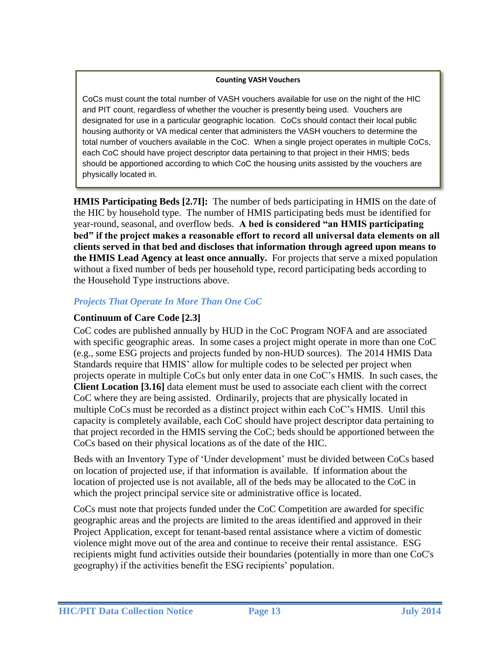#### **Counting VASH Vouchers**

CoCs must count the total number of VASH vouchers available for use on the night of the HIC and PIT count, regardless of whether the voucher is presently being used. Vouchers are designated for use in a particular geographic location. CoCs should contact their local public housing authority or VA medical center that administers the VASH vouchers to determine the total number of vouchers available in the CoC. When a single project operates in multiple CoCs, each CoC should have project descriptor data pertaining to that project in their HMIS; beds should be apportioned according to which CoC the housing units assisted by the vouchers are physically located in.

**HMIS Participating Beds [2.7I]:** The number of beds participating in HMIS on the date of the HIC by household type. The number of HMIS participating beds must be identified for year-round, seasonal, and overflow beds. **A bed is considered "an HMIS participating bed" if the project makes a reasonable effort to record all universal data elements on all clients served in that bed and discloses that information through agreed upon means to the HMIS Lead Agency at least once annually.** For projects that serve a mixed population without a fixed number of beds per household type, record participating beds according to the Household Type instructions above.

## <span id="page-12-0"></span>*Projects That Operate In More Than One CoC*

### **Continuum of Care Code [2.3]**

CoC codes are published annually by HUD in the CoC Program NOFA and are associated with specific geographic areas. In some cases a project might operate in more than one CoC (e.g., some ESG projects and projects funded by non-HUD sources). The 2014 HMIS Data Standards require that HMIS' allow for multiple codes to be selected per project when projects operate in multiple CoCs but only enter data in one CoC's HMIS. In such cases, the **Client Location [3.16]** data element must be used to associate each client with the correct CoC where they are being assisted. Ordinarily, projects that are physically located in multiple CoCs must be recorded as a distinct project within each CoC's HMIS. Until this capacity is completely available, each CoC should have project descriptor data pertaining to that project recorded in the HMIS serving the CoC; beds should be apportioned between the CoCs based on their physical locations as of the date of the HIC.

Beds with an Inventory Type of 'Under development' must be divided between CoCs based on location of projected use, if that information is available. If information about the location of projected use is not available, all of the beds may be allocated to the CoC in which the project principal service site or administrative office is located.

CoCs must note that projects funded under the CoC Competition are awarded for specific geographic areas and the projects are limited to the areas identified and approved in their Project Application, except for tenant-based rental assistance where a victim of domestic violence might move out of the area and continue to receive their rental assistance. ESG recipients might fund activities outside their boundaries (potentially in more than one CoC's geography) if the activities benefit the ESG recipients' population.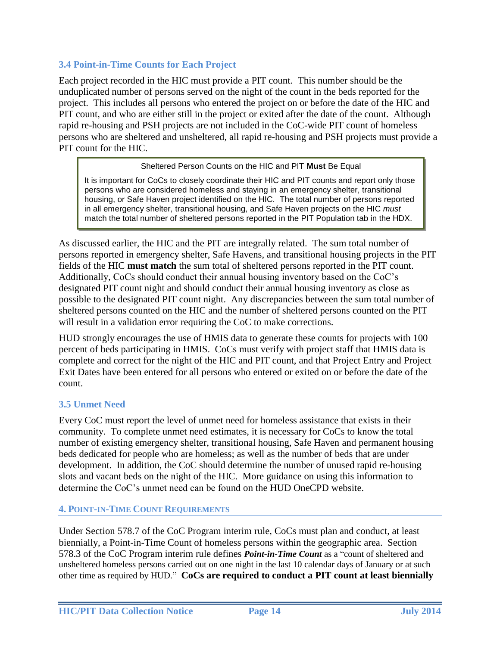### <span id="page-13-0"></span>**3.4 Point-in-Time Counts for Each Project**

Each project recorded in the HIC must provide a PIT count. This number should be the unduplicated number of persons served on the night of the count in the beds reported for the project. This includes all persons who entered the project on or before the date of the HIC and PIT count, and who are either still in the project or exited after the date of the count. Although rapid re-housing and PSH projects are not included in the CoC-wide PIT count of homeless persons who are sheltered and unsheltered, all rapid re-housing and PSH projects must provide a PIT count for the HIC.

#### Sheltered Person Counts on the HIC and PIT **Must** Be Equal

It is important for CoCs to closely coordinate their HIC and PIT counts and report only those persons who are considered homeless and staying in an emergency shelter, transitional housing, or Safe Haven project identified on the HIC. The total number of persons reported in all emergency shelter, transitional housing, and Safe Haven projects on the HIC *must* match the total number of sheltered persons reported in the PIT Population tab in the HDX.

As discussed earlier, the HIC and the PIT are integrally related. The sum total number of persons reported in emergency shelter, Safe Havens, and transitional housing projects in the PIT fields of the HIC **must match** the sum total of sheltered persons reported in the PIT count. Additionally, CoCs should conduct their annual housing inventory based on the CoC's designated PIT count night and should conduct their annual housing inventory as close as possible to the designated PIT count night. Any discrepancies between the sum total number of sheltered persons counted on the HIC and the number of sheltered persons counted on the PIT will result in a validation error requiring the CoC to make corrections.

HUD strongly encourages the use of HMIS data to generate these counts for projects with 100 percent of beds participating in HMIS. CoCs must verify with project staff that HMIS data is complete and correct for the night of the HIC and PIT count, and that Project Entry and Project Exit Dates have been entered for all persons who entered or exited on or before the date of the count.

### <span id="page-13-1"></span>**3.5 Unmet Need**

Every CoC must report the level of unmet need for homeless assistance that exists in their community. To complete unmet need estimates, it is necessary for CoCs to know the total number of existing emergency shelter, transitional housing, Safe Haven and permanent housing beds dedicated for people who are homeless; as well as the number of beds that are under development. In addition, the CoC should determine the number of unused rapid re-housing slots and vacant beds on the night of the HIC. More guidance on using this information to determine the CoC's unmet need can be found on the HUD OneCPD website.

### <span id="page-13-2"></span>**4. POINT-IN-TIME COUNT REQUIREMENTS**

Under Section 578.7 of the CoC Program interim rule, CoCs must plan and conduct, at least biennially, a Point-in-Time Count of homeless persons within the geographic area. Section 578.3 of the CoC Program interim rule defines *Point-in-Time Count* as a "count of sheltered and unsheltered homeless persons carried out on one night in the last 10 calendar days of January or at such other time as required by HUD." **CoCs are required to conduct a PIT count at least biennially**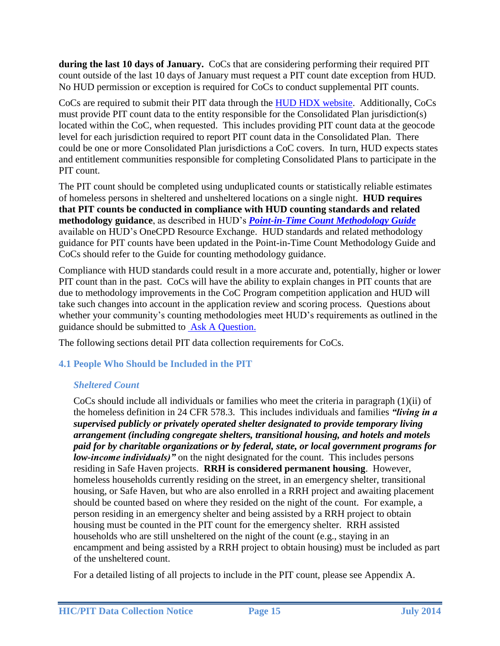**during the last 10 days of January.** CoCs that are considering performing their required PIT count outside of the last 10 days of January must request a PIT count date exception from HUD. No HUD permission or exception is required for CoCs to conduct supplemental PIT counts.

CoCs are required to submit their PIT data through the [HUD HDX website.](http://www.hudhdx.info/) Additionally, CoCs must provide PIT count data to the entity responsible for the Consolidated Plan jurisdiction(s) located within the CoC, when requested. This includes providing PIT count data at the geocode level for each jurisdiction required to report PIT count data in the Consolidated Plan. There could be one or more Consolidated Plan jurisdictions a CoC covers. In turn, HUD expects states and entitlement communities responsible for completing Consolidated Plans to participate in the PIT count.

The PIT count should be completed using unduplicated counts or statistically reliable estimates of homeless persons in sheltered and unsheltered locations on a single night. **HUD requires that PIT counts be conducted in compliance with HUD counting standards and related methodology guidance**, as described in HUD's *Point-in-Time Count Methodology Guide* available on HUD's OneCPD Resource Exchange. HUD standards and related methodology guidance for PIT counts have been updated in the Point-in-Time Count Methodology Guide and CoCs should refer to the Guide for counting methodology guidance.

Compliance with HUD standards could result in a more accurate and, potentially, higher or lower PIT count than in the past. CoCs will have the ability to explain changes in PIT counts that are due to methodology improvements in the CoC Program competition application and HUD will take such changes into account in the application review and scoring process. Questions about whether your community's counting methodologies meet HUD's requirements as outlined in the guidance should be submitted to [Ask A Question.](https://www.onecpd.info/ask-a-question/)

The following sections detail PIT data collection requirements for CoCs.

## <span id="page-14-1"></span><span id="page-14-0"></span>**4.1 People Who Should be Included in the PIT**

# *Sheltered Count*

CoCs should include all individuals or families who meet the criteria in paragraph  $(1)(ii)$  of the homeless definition in 24 CFR 578.3. This includes individuals and families *"living in a supervised publicly or privately operated shelter designated to provide temporary living arrangement (including congregate shelters, transitional housing, and hotels and motels paid for by charitable organizations or by federal, state, or local government programs for low-income individuals)"* on the night designated for the count. This includes persons residing in Safe Haven projects. **RRH is considered permanent housing**. However, homeless households currently residing on the street, in an emergency shelter, transitional housing, or Safe Haven, but who are also enrolled in a RRH project and awaiting placement should be counted based on where they resided on the night of the count. For example, a person residing in an emergency shelter and being assisted by a RRH project to obtain housing must be counted in the PIT count for the emergency shelter. RRH assisted households who are still unsheltered on the night of the count (e.g., staying in an encampment and being assisted by a RRH project to obtain housing) must be included as part of the unsheltered count.

For a detailed listing of all projects to include in the PIT count, please see Appendix A.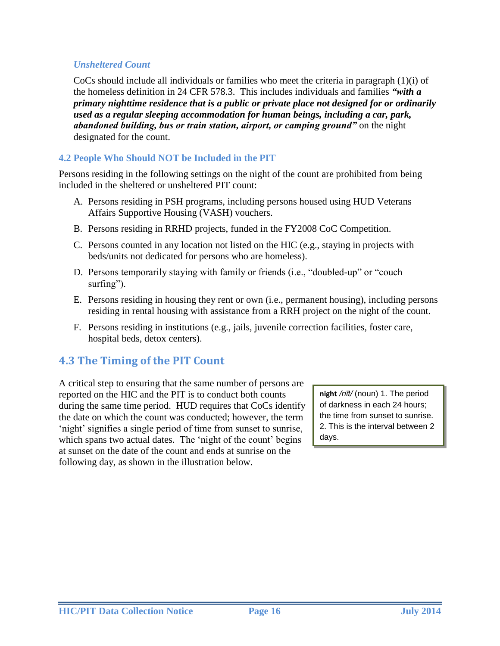### <span id="page-15-0"></span>*Unsheltered Count*

CoCs should include all individuals or families who meet the criteria in paragraph (1)(i) of the homeless definition in 24 CFR 578.3. This includes individuals and families *"with a primary nighttime residence that is a public or private place not designed for or ordinarily used as a regular sleeping accommodation for human beings, including a car, park, abandoned building, bus or train station, airport, or camping ground"* on the night designated for the count.

### <span id="page-15-1"></span>**4.2 People Who Should NOT be Included in the PIT**

Persons residing in the following settings on the night of the count are prohibited from being included in the sheltered or unsheltered PIT count:

- A. Persons residing in PSH programs, including persons housed using HUD Veterans Affairs Supportive Housing (VASH) vouchers.
- B. Persons residing in RRHD projects, funded in the FY2008 CoC Competition.
- C. Persons counted in any location not listed on the HIC (e.g., staying in projects with beds/units not dedicated for persons who are homeless).
- D. Persons temporarily staying with family or friends (i.e., "doubled-up" or "couch surfing").
- E. Persons residing in housing they rent or own (i.e., permanent housing), including persons residing in rental housing with assistance from a RRH project on the night of the count.
- F. Persons residing in institutions (e.g., jails, juvenile correction facilities, foster care, hospital beds, detox centers).

## <span id="page-15-2"></span>**4.3 The Timing of the PIT Count**

A critical step to ensuring that the same number of persons are reported on the HIC and the PIT is to conduct both counts during the same time period. HUD requires that CoCs identify the date on which the count was conducted; however, the term 'night' signifies a single period of time from sunset to sunrise, which spans two actual dates. The 'night of the count' begins at sunset on the date of the count and ends at sunrise on the following day, as shown in the illustration below.

**night** */nīt/* (noun) 1. The period of darkness in each 24 hours; the time from sunset to sunrise. 2. This is the interval between 2 days.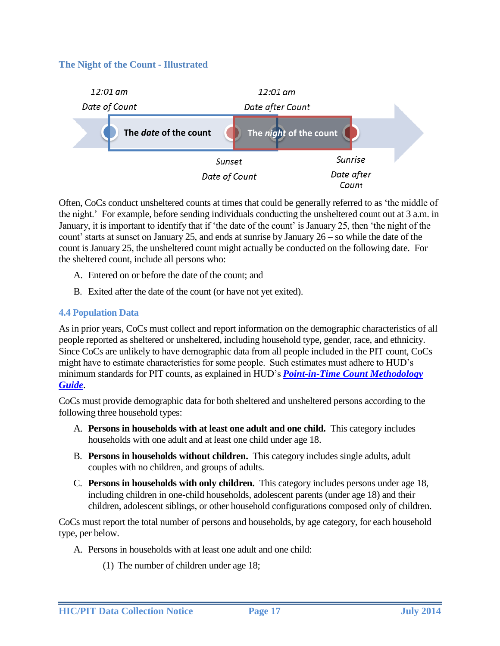### **The Night of the Count - Illustrated**



Often, CoCs conduct unsheltered counts at times that could be generally referred to as 'the middle of the night.' For example, before sending individuals conducting the unsheltered count out at 3 a.m. in January, it is important to identify that if 'the date of the count' is January 25, then 'the night of the count' starts at sunset on January 25, and ends at sunrise by January 26 – so while the date of the count is January 25, the unsheltered count might actually be conducted on the following date. For the sheltered count, include all persons who:

- A. Entered on or before the date of the count; and
- B. Exited after the date of the count (or have not yet exited).

### <span id="page-16-0"></span>**4.4 Population Data**

As in prior years, CoCs must collect and report information on the demographic characteristics of all people reported as sheltered or unsheltered, including household type, gender, race, and ethnicity. Since CoCs are unlikely to have demographic data from all people included in the PIT count, CoCs might have to estimate characteristics for some people. Such estimates must adhere to HUD's minimum standards for PIT counts, as explained in HUD's *Point-in-Time Count Methodology Guide*.

CoCs must provide demographic data for both sheltered and unsheltered persons according to the following three household types:

- A. **Persons in households with at least one adult and one child.** This category includes households with one adult and at least one child under age 18.
- B. **Persons in households without children.** This category includes single adults, adult couples with no children, and groups of adults.
- C. **Persons in households with only children.** This category includes persons under age 18, including children in one-child households, adolescent parents (under age 18) and their children, adolescent siblings, or other household configurations composed only of children.

CoCs must report the total number of persons and households, by age category, for each household type, per below.

- A. Persons in households with at least one adult and one child:
	- (1) The number of children under age 18;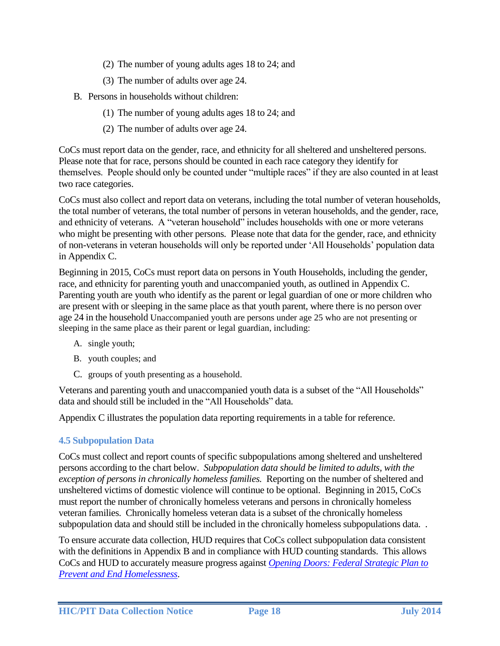- (2) The number of young adults ages 18 to 24; and
- (3) The number of adults over age 24.
- B. Persons in households without children:
	- (1) The number of young adults ages 18 to 24; and
	- (2) The number of adults over age 24.

CoCs must report data on the gender, race, and ethnicity for all sheltered and unsheltered persons. Please note that for race, persons should be counted in each race category they identify for themselves. People should only be counted under "multiple races" if they are also counted in at least two race categories.

CoCs must also collect and report data on veterans, including the total number of veteran households, the total number of veterans, the total number of persons in veteran households, and the gender, race, and ethnicity of veterans. A "veteran household" includes households with one or more veterans who might be presenting with other persons. Please note that data for the gender, race, and ethnicity of non-veterans in veteran households will only be reported under 'All Households' population data in Appendix C.

Beginning in 2015, CoCs must report data on persons in Youth Households, including the gender, race, and ethnicity for parenting youth and unaccompanied youth, as outlined in Appendix C. Parenting youth are youth who identify as the parent or legal guardian of one or more children who are present with or sleeping in the same place as that youth parent, where there is no person over age 24 in the household Unaccompanied youth are persons under age 25 who are not presenting or sleeping in the same place as their parent or legal guardian, including:

- A. single youth;
- B. youth couples; and
- C. groups of youth presenting as a household.

Veterans and parenting youth and unaccompanied youth data is a subset of the "All Households" data and should still be included in the "All Households" data.

Appendix C illustrates the population data reporting requirements in a table for reference.

### <span id="page-17-0"></span>**4.5 Subpopulation Data**

CoCs must collect and report counts of specific subpopulations among sheltered and unsheltered persons according to the chart below. *Subpopulation data should be limited to adults, with the exception of persons in chronically homeless families.* Reporting on the number of sheltered and unsheltered victims of domestic violence will continue to be optional. Beginning in 2015, CoCs must report the number of chronically homeless veterans and persons in chronically homeless veteran families. Chronically homeless veteran data is a subset of the chronically homeless subpopulation data and should still be included in the chronically homeless subpopulations data. .

To ensure accurate data collection, HUD requires that CoCs collect subpopulation data consistent with the definitions in Appendix B and in compliance with HUD counting standards. This allows CoCs and HUD to accurately measure progress against *[Opening Doors: Federal Strategic Plan to](http://www.usich.gov/opening_doors/)  [Prevent and End Homelessness](http://www.usich.gov/opening_doors/)*.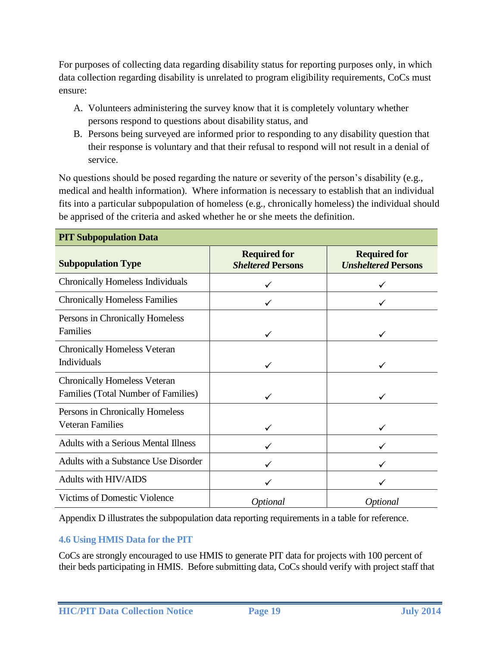For purposes of collecting data regarding disability status for reporting purposes only, in which data collection regarding disability is unrelated to program eligibility requirements, CoCs must ensure:

- A. Volunteers administering the survey know that it is completely voluntary whether persons respond to questions about disability status, and
- B. Persons being surveyed are informed prior to responding to any disability question that their response is voluntary and that their refusal to respond will not result in a denial of service.

No questions should be posed regarding the nature or severity of the person's disability (e.g., medical and health information). Where information is necessary to establish that an individual fits into a particular subpopulation of homeless (e.g., chronically homeless) the individual should be apprised of the criteria and asked whether he or she meets the definition.

| т тт баррораланон Баш                                                             |                                                 |                                                   |
|-----------------------------------------------------------------------------------|-------------------------------------------------|---------------------------------------------------|
| <b>Subpopulation Type</b>                                                         | <b>Required for</b><br><b>Sheltered Persons</b> | <b>Required for</b><br><b>Unsheltered Persons</b> |
| <b>Chronically Homeless Individuals</b>                                           |                                                 |                                                   |
| <b>Chronically Homeless Families</b>                                              |                                                 |                                                   |
| Persons in Chronically Homeless<br><b>Families</b>                                | $\checkmark$                                    | ✓                                                 |
| <b>Chronically Homeless Veteran</b><br>Individuals                                |                                                 |                                                   |
| <b>Chronically Homeless Veteran</b><br><b>Families (Total Number of Families)</b> |                                                 |                                                   |
| Persons in Chronically Homeless<br><b>Veteran Families</b>                        |                                                 |                                                   |
| <b>Adults with a Serious Mental Illness</b>                                       |                                                 |                                                   |
| Adults with a Substance Use Disorder                                              |                                                 |                                                   |
| Adults with HIV/AIDS                                                              |                                                 |                                                   |
| <b>Victims of Domestic Violence</b>                                               | Optional                                        | <i>Optional</i>                                   |

**PIT Subpopulation Data**

Appendix D illustrates the subpopulation data reporting requirements in a table for reference.

### <span id="page-18-0"></span>**4.6 Using HMIS Data for the PIT**

CoCs are strongly encouraged to use HMIS to generate PIT data for projects with 100 percent of their beds participating in HMIS. Before submitting data, CoCs should verify with project staff that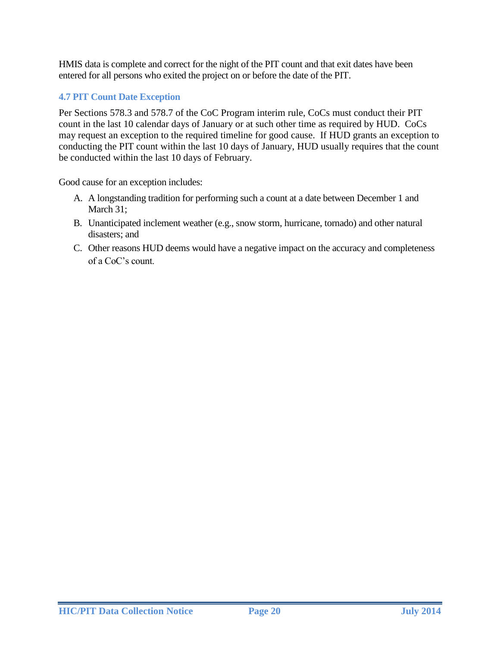HMIS data is complete and correct for the night of the PIT count and that exit dates have been entered for all persons who exited the project on or before the date of the PIT.

## <span id="page-19-1"></span><span id="page-19-0"></span>**4.7 PIT Count Date Exception**

Per Sections 578.3 and 578.7 of the CoC Program interim rule, CoCs must conduct their PIT count in the last 10 calendar days of January or at such other time as required by HUD. CoCs may request an exception to the required timeline for good cause. If HUD grants an exception to conducting the PIT count within the last 10 days of January, HUD usually requires that the count be conducted within the last 10 days of February.

Good cause for an exception includes:

- A. A longstanding tradition for performing such a count at a date between December 1 and March 31;
- B. Unanticipated inclement weather (e.g., snow storm, hurricane, tornado) and other natural disasters; and
- C. Other reasons HUD deems would have a negative impact on the accuracy and completeness of a CoC's count.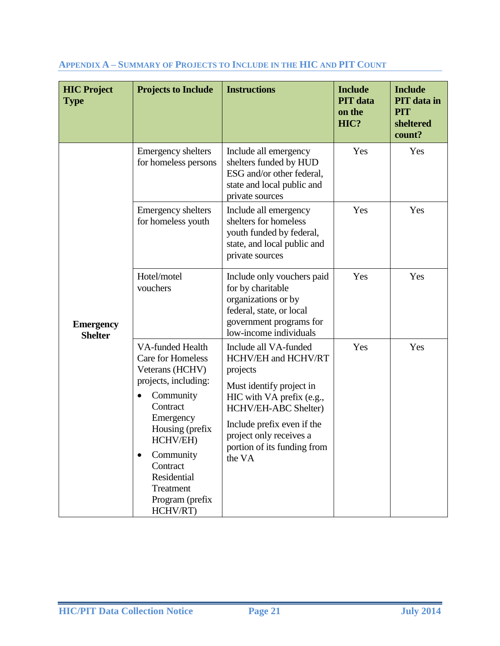| <b>HIC Project</b><br><b>Type</b>  | <b>Projects to Include</b>                                                                                                                                                                                                                                    | <b>Instructions</b>                                                                                                                                                                                                                         | <b>Include</b><br><b>PIT</b> data<br>on the<br>HIC? | <b>Include</b><br><b>PIT</b> data in<br><b>PIT</b><br>sheltered<br>count? |
|------------------------------------|---------------------------------------------------------------------------------------------------------------------------------------------------------------------------------------------------------------------------------------------------------------|---------------------------------------------------------------------------------------------------------------------------------------------------------------------------------------------------------------------------------------------|-----------------------------------------------------|---------------------------------------------------------------------------|
| <b>Emergency</b><br><b>Shelter</b> | <b>Emergency shelters</b><br>for homeless persons                                                                                                                                                                                                             | Include all emergency<br>shelters funded by HUD<br>ESG and/or other federal,<br>state and local public and<br>private sources                                                                                                               | Yes                                                 | Yes                                                                       |
|                                    | <b>Emergency shelters</b><br>for homeless youth                                                                                                                                                                                                               | Include all emergency<br>shelters for homeless<br>youth funded by federal,<br>state, and local public and<br>private sources                                                                                                                | Yes                                                 | Yes                                                                       |
|                                    | Hotel/motel<br>vouchers                                                                                                                                                                                                                                       | Include only vouchers paid<br>for by charitable<br>organizations or by<br>federal, state, or local<br>government programs for<br>low-income individuals                                                                                     | Yes                                                 | Yes                                                                       |
|                                    | VA-funded Health<br><b>Care for Homeless</b><br>Veterans (HCHV)<br>projects, including:<br>Community<br>Contract<br>Emergency<br>Housing (prefix<br>HCHV/EH)<br>Community<br>$\bullet$<br>Contract<br>Residential<br>Treatment<br>Program (prefix<br>HCHV/RT) | Include all VA-funded<br>HCHV/EH and HCHV/RT<br>projects<br>Must identify project in<br>HIC with VA prefix (e.g.,<br>HCHV/EH-ABC Shelter)<br>Include prefix even if the<br>project only receives a<br>portion of its funding from<br>the VA | Yes                                                 | Yes                                                                       |

### <span id="page-20-0"></span>**APPENDIX A – SUMMARY OF PROJECTS TO INCLUDE IN THE HIC AND PIT COUNT**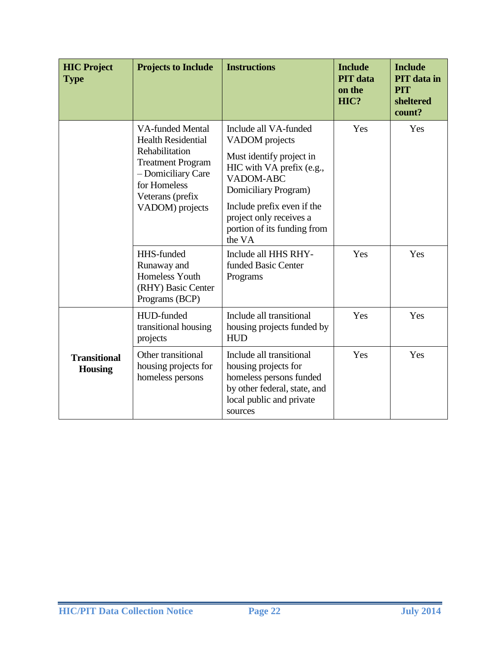| <b>HIC Project</b><br><b>Type</b>     | <b>Projects to Include</b>                                                                                                                                                      | <b>Instructions</b>                                                                                                                                                                                                                            | <b>Include</b><br><b>PIT</b> data<br>on the<br>HIC? | <b>Include</b><br><b>PIT</b> data in<br><b>PIT</b><br>sheltered<br>count? |
|---------------------------------------|---------------------------------------------------------------------------------------------------------------------------------------------------------------------------------|------------------------------------------------------------------------------------------------------------------------------------------------------------------------------------------------------------------------------------------------|-----------------------------------------------------|---------------------------------------------------------------------------|
|                                       | <b>VA-funded Mental</b><br><b>Health Residential</b><br>Rehabilitation<br><b>Treatment Program</b><br>- Domiciliary Care<br>for Homeless<br>Veterans (prefix<br>VADOM) projects | Include all VA-funded<br>VADOM projects<br>Must identify project in<br>HIC with VA prefix (e.g.,<br><b>VADOM-ABC</b><br>Domiciliary Program)<br>Include prefix even if the<br>project only receives a<br>portion of its funding from<br>the VA | Yes                                                 | Yes                                                                       |
|                                       | HHS-funded<br>Runaway and<br>Homeless Youth<br>(RHY) Basic Center<br>Programs (BCP)                                                                                             | Include all HHS RHY-<br>funded Basic Center<br>Programs                                                                                                                                                                                        | Yes                                                 | Yes                                                                       |
|                                       | HUD-funded<br>transitional housing<br>projects                                                                                                                                  | Include all transitional<br>housing projects funded by<br><b>HUD</b>                                                                                                                                                                           | Yes                                                 | Yes                                                                       |
| <b>Transitional</b><br><b>Housing</b> | Other transitional<br>housing projects for<br>homeless persons                                                                                                                  | Include all transitional<br>housing projects for<br>homeless persons funded<br>by other federal, state, and<br>local public and private<br>sources                                                                                             | Yes                                                 | Yes                                                                       |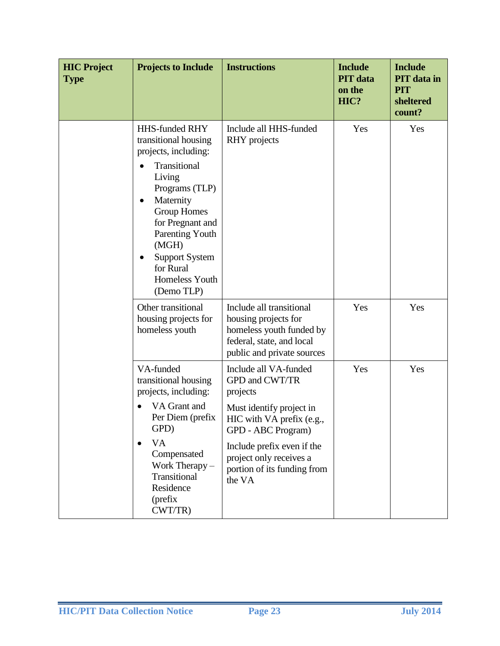| <b>HIC Project</b><br><b>Type</b> | <b>Projects to Include</b>                                                                                                                                                                                                                                                 | <b>Instructions</b>                                                                                                                                                                                                                  | <b>Include</b><br><b>PIT</b> data<br>on the<br>HIC? | <b>Include</b><br><b>PIT</b> data in<br><b>PIT</b><br>sheltered<br>count? |
|-----------------------------------|----------------------------------------------------------------------------------------------------------------------------------------------------------------------------------------------------------------------------------------------------------------------------|--------------------------------------------------------------------------------------------------------------------------------------------------------------------------------------------------------------------------------------|-----------------------------------------------------|---------------------------------------------------------------------------|
|                                   | <b>HHS-funded RHY</b><br>transitional housing<br>projects, including:<br>Transitional<br>Living<br>Programs (TLP)<br>Maternity<br><b>Group Homes</b><br>for Pregnant and<br>Parenting Youth<br>(MGH)<br><b>Support System</b><br>for Rural<br>Homeless Youth<br>(Demo TLP) | Include all HHS-funded<br>RHY projects                                                                                                                                                                                               | Yes                                                 | Yes                                                                       |
|                                   | Other transitional<br>housing projects for<br>homeless youth                                                                                                                                                                                                               | Include all transitional<br>housing projects for<br>homeless youth funded by<br>federal, state, and local<br>public and private sources                                                                                              | Yes                                                 | Yes                                                                       |
|                                   | VA-funded<br>transitional housing<br>projects, including:<br>VA Grant and<br>Per Diem (prefix<br>GPD)<br><b>VA</b><br>$\bullet$<br>Compensated<br>Work Therapy -<br>Transitional<br>Residence<br>(prefix<br>CWT/TR)                                                        | Include all VA-funded<br>GPD and CWT/TR<br>projects<br>Must identify project in<br>HIC with VA prefix (e.g.,<br>GPD - ABC Program)<br>Include prefix even if the<br>project only receives a<br>portion of its funding from<br>the VA | Yes                                                 | Yes                                                                       |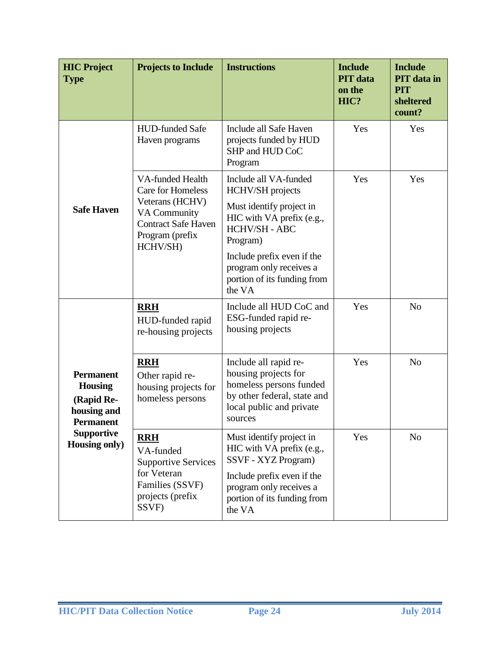| <b>HIC Project</b><br><b>Type</b>                                                                                                | <b>Projects to Include</b>                                                                                                                                 | <b>Instructions</b>                                                                                                                                                                                                               | <b>Include</b><br><b>PIT</b> data<br>on the<br>HIC? | <b>Include</b><br><b>PIT</b> data in<br><b>PIT</b><br>sheltered<br>count? |  |
|----------------------------------------------------------------------------------------------------------------------------------|------------------------------------------------------------------------------------------------------------------------------------------------------------|-----------------------------------------------------------------------------------------------------------------------------------------------------------------------------------------------------------------------------------|-----------------------------------------------------|---------------------------------------------------------------------------|--|
|                                                                                                                                  | <b>HUD-funded Safe</b><br>Haven programs                                                                                                                   | Include all Safe Haven<br>projects funded by HUD<br>SHP and HUD CoC<br>Program                                                                                                                                                    | Yes                                                 | Yes                                                                       |  |
| <b>Safe Haven</b>                                                                                                                | <b>VA-funded Health</b><br><b>Care for Homeless</b><br>Veterans (HCHV)<br><b>VA Community</b><br><b>Contract Safe Haven</b><br>Program (prefix<br>HCHV/SH) | Include all VA-funded<br>HCHV/SH projects<br>Must identify project in<br>HIC with VA prefix (e.g.,<br>HCHV/SH - ABC<br>Program)<br>Include prefix even if the<br>program only receives a<br>portion of its funding from<br>the VA | Yes                                                 | Yes                                                                       |  |
|                                                                                                                                  | <b>RRH</b><br>HUD-funded rapid<br>re-housing projects                                                                                                      | Include all HUD CoC and<br>ESG-funded rapid re-<br>housing projects                                                                                                                                                               | Yes                                                 | N <sub>o</sub>                                                            |  |
| <b>Permanent</b><br><b>Housing</b><br>(Rapid Re-<br>housing and<br><b>Permanent</b><br><b>Supportive</b><br><b>Housing only)</b> | <b>RRH</b><br>Other rapid re-<br>housing projects for<br>homeless persons                                                                                  | Include all rapid re-<br>housing projects for<br>homeless persons funded<br>by other federal, state and<br>local public and private<br>sources                                                                                    | Yes                                                 | N <sub>o</sub>                                                            |  |
|                                                                                                                                  | <b>RRH</b><br>VA-funded<br><b>Supportive Services</b><br>for Veteran<br>Families (SSVF)<br>projects (prefix<br>SSVF)                                       | Must identify project in<br>HIC with VA prefix (e.g.,<br>SSVF - XYZ Program)<br>Include prefix even if the<br>program only receives a<br>portion of its funding from<br>the VA                                                    | Yes                                                 | N <sub>o</sub>                                                            |  |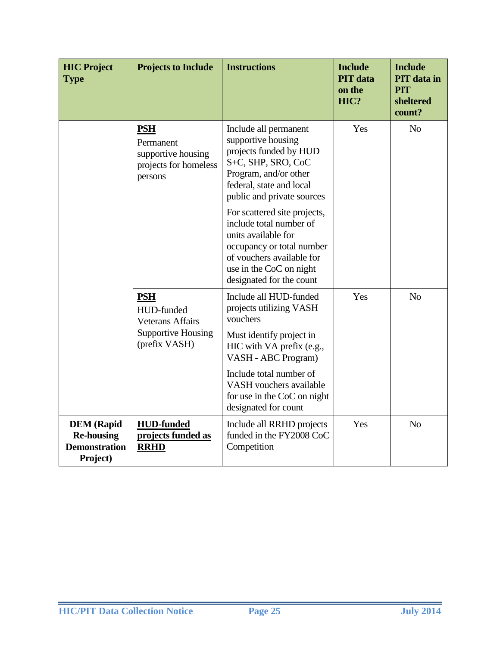| <b>HIC Project</b><br><b>Type</b>                                          | <b>Projects to Include</b>                                                                        | <b>Instructions</b><br><b>Include</b><br><b>PIT</b> data<br>on the<br>HIC?                                                                                                                          |     | <b>Include</b><br><b>PIT</b> data in<br><b>PIT</b><br>sheltered<br>count? |
|----------------------------------------------------------------------------|---------------------------------------------------------------------------------------------------|-----------------------------------------------------------------------------------------------------------------------------------------------------------------------------------------------------|-----|---------------------------------------------------------------------------|
|                                                                            | <b>PSH</b><br>Permanent<br>supportive housing<br>projects for homeless<br>persons                 | Include all permanent<br>supportive housing<br>projects funded by HUD<br>S+C, SHP, SRO, CoC<br>Program, and/or other<br>federal, state and local<br>public and private sources                      | Yes | N <sub>o</sub>                                                            |
|                                                                            |                                                                                                   | For scattered site projects,<br>include total number of<br>units available for<br>occupancy or total number<br>of vouchers available for<br>use in the CoC on night<br>designated for the count     |     |                                                                           |
|                                                                            | <b>PSH</b><br>HUD-funded<br><b>Veterans Affairs</b><br><b>Supportive Housing</b><br>(prefix VASH) | Include all HUD-funded<br>projects utilizing VASH<br>vouchers<br>Must identify project in<br>HIC with VA prefix (e.g.,<br>VASH - ABC Program)<br>Include total number of<br>VASH vouchers available | Yes | N <sub>o</sub>                                                            |
|                                                                            |                                                                                                   | for use in the CoC on night<br>designated for count                                                                                                                                                 |     |                                                                           |
| <b>DEM</b> (Rapid<br><b>Re-housing</b><br><b>Demonstration</b><br>Project) | <b>HUD-funded</b><br>projects funded as<br><b>RRHD</b>                                            | Include all RRHD projects<br>funded in the FY2008 CoC<br>Competition                                                                                                                                | Yes | N <sub>o</sub>                                                            |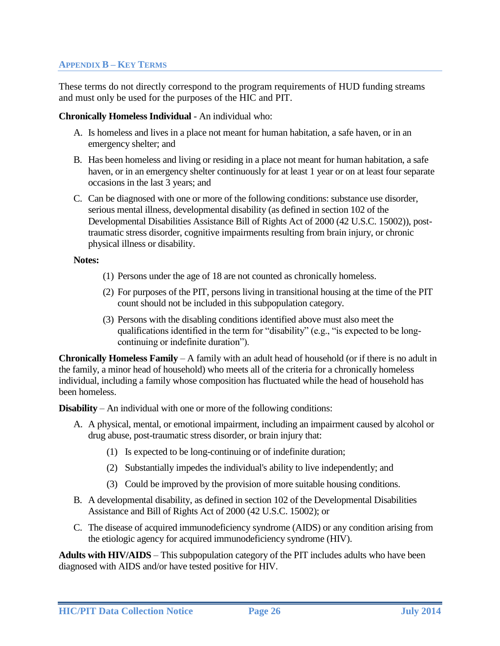### <span id="page-25-0"></span>**APPENDIX B – KEY TERMS**

These terms do not directly correspond to the program requirements of HUD funding streams and must only be used for the purposes of the HIC and PIT.

#### **Chronically Homeless Individual** - An individual who:

- A. Is homeless and lives in a place not meant for human habitation, a safe haven, or in an emergency shelter; and
- B. Has been homeless and living or residing in a place not meant for human habitation, a safe haven, or in an emergency shelter continuously for at least 1 year or on at least four separate occasions in the last 3 years; and
- C. Can be diagnosed with one or more of the following conditions: substance use disorder, serious mental illness, developmental disability (as defined in section 102 of the Developmental Disabilities Assistance Bill of Rights Act of 2000 (42 U.S.C. 15002)), posttraumatic stress disorder, cognitive impairments resulting from brain injury, or chronic physical illness or disability.

#### **Notes:**

- (1) Persons under the age of 18 are not counted as chronically homeless.
- (2) For purposes of the PIT, persons living in transitional housing at the time of the PIT count should not be included in this subpopulation category.
- (3) Persons with the disabling conditions identified above must also meet the qualifications identified in the term for "disability" (e.g., "is expected to be longcontinuing or indefinite duration").

**Chronically Homeless Family** – A family with an adult head of household (or if there is no adult in the family, a minor head of household) who meets all of the criteria for a chronically homeless individual, including a family whose composition has fluctuated while the head of household has been homeless.

**Disability** – An individual with one or more of the following conditions:

- A. A physical, mental, or emotional impairment, including an impairment caused by alcohol or drug abuse, post-traumatic stress disorder, or brain injury that:
	- (1) Is expected to be long-continuing or of indefinite duration;
	- (2) Substantially impedes the individual's ability to live independently; and
	- (3) Could be improved by the provision of more suitable housing conditions.
- B. A developmental disability, as defined in section 102 of the Developmental Disabilities Assistance and Bill of Rights Act of 2000 (42 U.S.C. 15002); or
- C. The disease of acquired immunodeficiency syndrome (AIDS) or any condition arising from the etiologic agency for acquired immunodeficiency syndrome (HIV).

**Adults with HIV/AIDS** – This subpopulation category of the PIT includes adults who have been diagnosed with AIDS and/or have tested positive for HIV.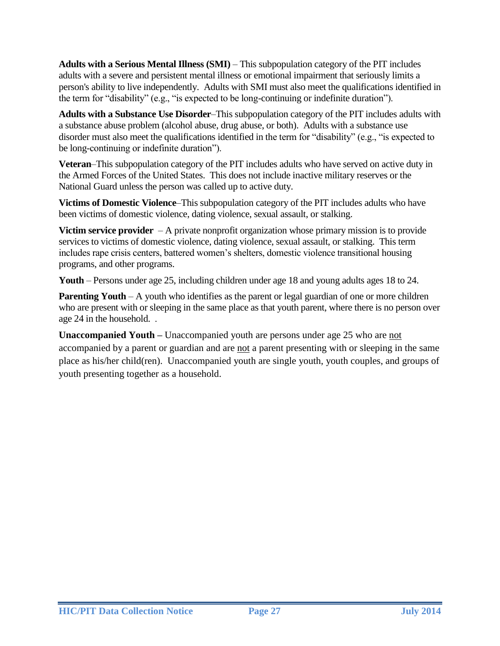**Adults with a Serious Mental Illness (SMI)** – This subpopulation category of the PIT includes adults with a severe and persistent mental illness or emotional impairment that seriously limits a person's ability to live independently. Adults with SMI must also meet the qualifications identified in the term for "disability" (e.g., "is expected to be long-continuing or indefinite duration").

**Adults with a Substance Use Disorder**–This subpopulation category of the PIT includes adults with a substance abuse problem (alcohol abuse, drug abuse, or both). Adults with a substance use disorder must also meet the qualifications identified in the term for "disability" (e.g., "is expected to be long-continuing or indefinite duration").

**Veteran**–This subpopulation category of the PIT includes adults who have served on active duty in the Armed Forces of the United States. This does not include inactive military reserves or the National Guard unless the person was called up to active duty.

**Victims of Domestic Violence**–This subpopulation category of the PIT includes adults who have been victims of domestic violence, dating violence, sexual assault, or stalking.

**Victim service provider** – A private nonprofit organization whose primary mission is to provide services to victims of domestic violence, dating violence, sexual assault, or stalking. This term includes rape crisis centers, battered women's shelters, domestic violence transitional housing programs, and other programs.

**Youth** – Persons under age 25, including children under age 18 and young adults ages 18 to 24.

**Parenting Youth** – A youth who identifies as the parent or legal guardian of one or more children who are present with or sleeping in the same place as that youth parent, where there is no person over age 24 in the household. .

Unaccompanied Youth – Unaccompanied youth are persons under age 25 who are not accompanied by a parent or guardian and are not a parent presenting with or sleeping in the same place as his/her child(ren). Unaccompanied youth are single youth, youth couples, and groups of youth presenting together as a household.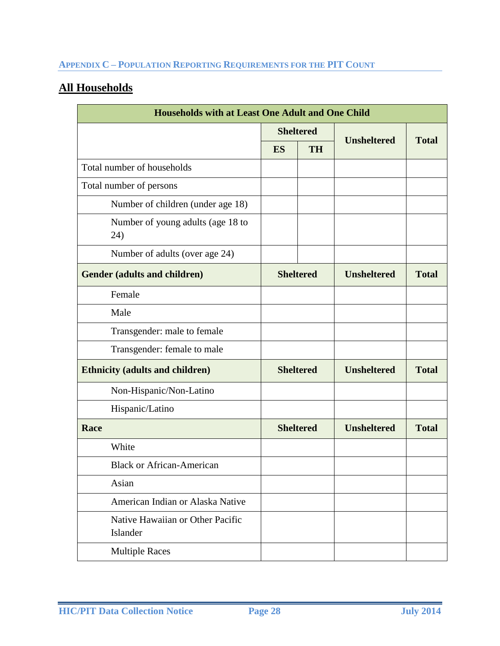# <span id="page-27-0"></span>**APPENDIX C – POPULATION REPORTING REQUIREMENTS FOR THE PIT COUNT**

# **All Households**

| <b>Households with at Least One Adult and One Child</b> |                  |                  |                    |              |
|---------------------------------------------------------|------------------|------------------|--------------------|--------------|
|                                                         |                  | <b>Sheltered</b> |                    | <b>Total</b> |
|                                                         | ES               | <b>TH</b>        | <b>Unsheltered</b> |              |
| Total number of households                              |                  |                  |                    |              |
| Total number of persons                                 |                  |                  |                    |              |
| Number of children (under age 18)                       |                  |                  |                    |              |
| Number of young adults (age 18 to<br>24)                |                  |                  |                    |              |
| Number of adults (over age 24)                          |                  |                  |                    |              |
| <b>Gender (adults and children)</b>                     |                  | <b>Sheltered</b> | <b>Unsheltered</b> | <b>Total</b> |
| Female                                                  |                  |                  |                    |              |
| Male                                                    |                  |                  |                    |              |
| Transgender: male to female                             |                  |                  |                    |              |
| Transgender: female to male                             |                  |                  |                    |              |
| <b>Ethnicity (adults and children)</b>                  | <b>Sheltered</b> |                  | <b>Unsheltered</b> | <b>Total</b> |
| Non-Hispanic/Non-Latino                                 |                  |                  |                    |              |
| Hispanic/Latino                                         |                  |                  |                    |              |
| Race                                                    |                  | <b>Sheltered</b> | <b>Unsheltered</b> | <b>Total</b> |
| White                                                   |                  |                  |                    |              |
| <b>Black or African-American</b>                        |                  |                  |                    |              |
| Asian                                                   |                  |                  |                    |              |
| American Indian or Alaska Native                        |                  |                  |                    |              |
| Native Hawaiian or Other Pacific<br>Islander            |                  |                  |                    |              |
| <b>Multiple Races</b>                                   |                  |                  |                    |              |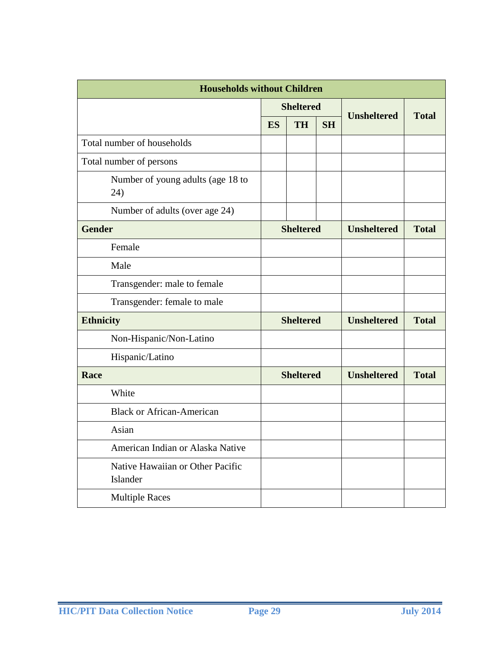| <b>Households without Children</b>           |                  |                  |                    |                    |              |  |
|----------------------------------------------|------------------|------------------|--------------------|--------------------|--------------|--|
|                                              | <b>Sheltered</b> |                  | <b>Unsheltered</b> | <b>Total</b>       |              |  |
|                                              | ES               | <b>TH</b>        | <b>SH</b>          |                    |              |  |
| Total number of households                   |                  |                  |                    |                    |              |  |
| Total number of persons                      |                  |                  |                    |                    |              |  |
| Number of young adults (age 18 to<br>24)     |                  |                  |                    |                    |              |  |
| Number of adults (over age 24)               |                  |                  |                    |                    |              |  |
| <b>Gender</b>                                |                  | <b>Sheltered</b> |                    | <b>Unsheltered</b> | <b>Total</b> |  |
| Female                                       |                  |                  |                    |                    |              |  |
| Male                                         |                  |                  |                    |                    |              |  |
| Transgender: male to female                  |                  |                  |                    |                    |              |  |
| Transgender: female to male                  |                  |                  |                    |                    |              |  |
| <b>Ethnicity</b>                             | <b>Sheltered</b> |                  | <b>Unsheltered</b> | <b>Total</b>       |              |  |
| Non-Hispanic/Non-Latino                      |                  |                  |                    |                    |              |  |
| Hispanic/Latino                              |                  |                  |                    |                    |              |  |
| Race                                         |                  | <b>Sheltered</b> |                    | <b>Unsheltered</b> | <b>Total</b> |  |
| White                                        |                  |                  |                    |                    |              |  |
| <b>Black or African-American</b>             |                  |                  |                    |                    |              |  |
| Asian                                        |                  |                  |                    |                    |              |  |
| American Indian or Alaska Native             |                  |                  |                    |                    |              |  |
| Native Hawaiian or Other Pacific<br>Islander |                  |                  |                    |                    |              |  |
| <b>Multiple Races</b>                        |                  |                  |                    |                    |              |  |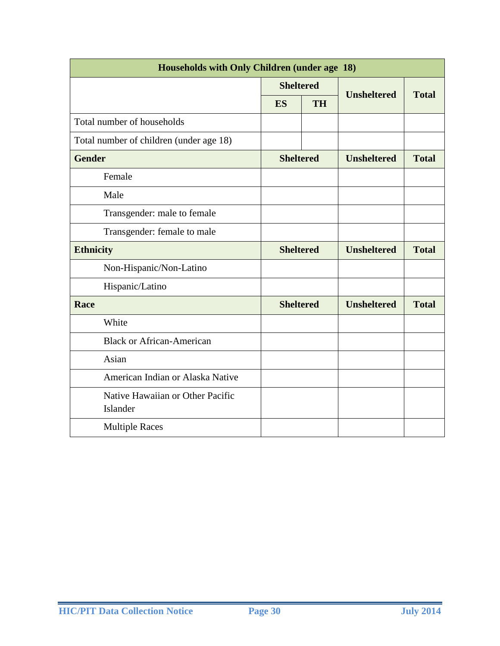| Households with Only Children (under age 18) |                  |           |                    |              |
|----------------------------------------------|------------------|-----------|--------------------|--------------|
|                                              | <b>Sheltered</b> |           | <b>Unsheltered</b> |              |
|                                              | <b>ES</b>        | <b>TH</b> |                    | <b>Total</b> |
| Total number of households                   |                  |           |                    |              |
| Total number of children (under age 18)      |                  |           |                    |              |
| <b>Gender</b>                                | <b>Sheltered</b> |           | <b>Unsheltered</b> | <b>Total</b> |
| Female                                       |                  |           |                    |              |
| Male                                         |                  |           |                    |              |
| Transgender: male to female                  |                  |           |                    |              |
| Transgender: female to male                  |                  |           |                    |              |
| <b>Ethnicity</b>                             | <b>Sheltered</b> |           | <b>Unsheltered</b> | <b>Total</b> |
| Non-Hispanic/Non-Latino                      |                  |           |                    |              |
| Hispanic/Latino                              |                  |           |                    |              |
| Race                                         | <b>Sheltered</b> |           | <b>Unsheltered</b> | <b>Total</b> |
| White                                        |                  |           |                    |              |
| <b>Black or African-American</b>             |                  |           |                    |              |
| Asian                                        |                  |           |                    |              |
| American Indian or Alaska Native             |                  |           |                    |              |
| Native Hawaiian or Other Pacific<br>Islander |                  |           |                    |              |
| <b>Multiple Races</b>                        |                  |           |                    |              |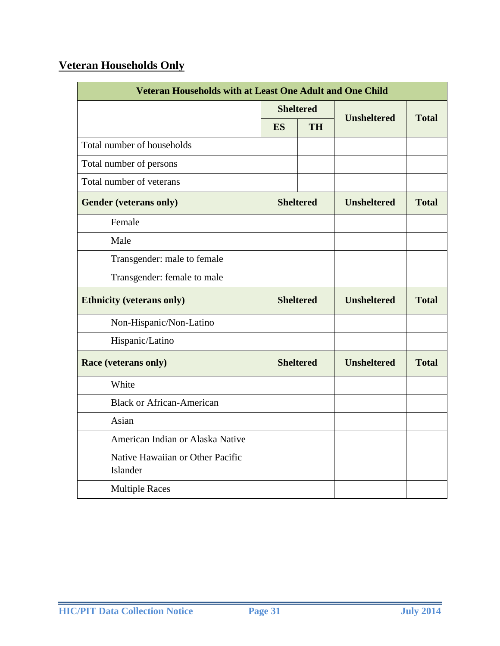# **Veteran Households Only**

| <b>Veteran Households with at Least One Adult and One Child</b> |                  |           |                    |              |  |
|-----------------------------------------------------------------|------------------|-----------|--------------------|--------------|--|
|                                                                 | <b>Sheltered</b> |           | <b>Unsheltered</b> | <b>Total</b> |  |
|                                                                 | <b>ES</b>        | <b>TH</b> |                    |              |  |
| Total number of households                                      |                  |           |                    |              |  |
| Total number of persons                                         |                  |           |                    |              |  |
| Total number of veterans                                        |                  |           |                    |              |  |
| <b>Gender (veterans only)</b>                                   | <b>Sheltered</b> |           | <b>Unsheltered</b> | <b>Total</b> |  |
| Female                                                          |                  |           |                    |              |  |
| Male                                                            |                  |           |                    |              |  |
| Transgender: male to female                                     |                  |           |                    |              |  |
| Transgender: female to male                                     |                  |           |                    |              |  |
| <b>Ethnicity (veterans only)</b>                                | <b>Sheltered</b> |           | <b>Unsheltered</b> | <b>Total</b> |  |
| Non-Hispanic/Non-Latino                                         |                  |           |                    |              |  |
| Hispanic/Latino                                                 |                  |           |                    |              |  |
| <b>Race (veterans only)</b>                                     | <b>Sheltered</b> |           | <b>Unsheltered</b> | <b>Total</b> |  |
| White                                                           |                  |           |                    |              |  |
| <b>Black or African-American</b>                                |                  |           |                    |              |  |
| Asian                                                           |                  |           |                    |              |  |
| American Indian or Alaska Native                                |                  |           |                    |              |  |
| Native Hawaiian or Other Pacific<br>Islander                    |                  |           |                    |              |  |
| <b>Multiple Races</b>                                           |                  |           |                    |              |  |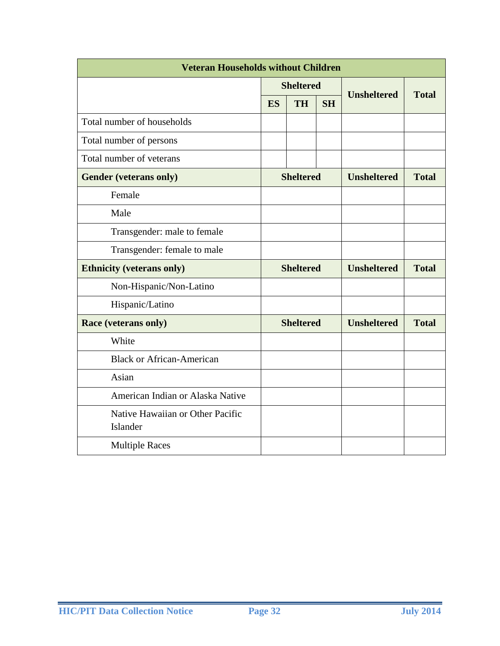| <b>Veteran Households without Children</b>   |                  |                  |                    |                    |              |
|----------------------------------------------|------------------|------------------|--------------------|--------------------|--------------|
|                                              | <b>Sheltered</b> |                  |                    |                    |              |
|                                              | <b>ES</b>        | <b>TH</b>        | <b>SH</b>          | <b>Unsheltered</b> | <b>Total</b> |
| Total number of households                   |                  |                  |                    |                    |              |
| Total number of persons                      |                  |                  |                    |                    |              |
| Total number of veterans                     |                  |                  |                    |                    |              |
| <b>Gender (veterans only)</b>                | <b>Sheltered</b> |                  | <b>Unsheltered</b> | <b>Total</b>       |              |
| Female                                       |                  |                  |                    |                    |              |
| Male                                         |                  |                  |                    |                    |              |
| Transgender: male to female                  |                  |                  |                    |                    |              |
| Transgender: female to male                  |                  |                  |                    |                    |              |
| <b>Ethnicity (veterans only)</b>             | <b>Sheltered</b> |                  | <b>Unsheltered</b> | <b>Total</b>       |              |
| Non-Hispanic/Non-Latino                      |                  |                  |                    |                    |              |
| Hispanic/Latino                              |                  |                  |                    |                    |              |
| <b>Race (veterans only)</b>                  |                  | <b>Sheltered</b> |                    | <b>Unsheltered</b> | <b>Total</b> |
| White                                        |                  |                  |                    |                    |              |
| <b>Black or African-American</b>             |                  |                  |                    |                    |              |
| Asian                                        |                  |                  |                    |                    |              |
| American Indian or Alaska Native             |                  |                  |                    |                    |              |
| Native Hawaiian or Other Pacific<br>Islander |                  |                  |                    |                    |              |
| <b>Multiple Races</b>                        |                  |                  |                    |                    |              |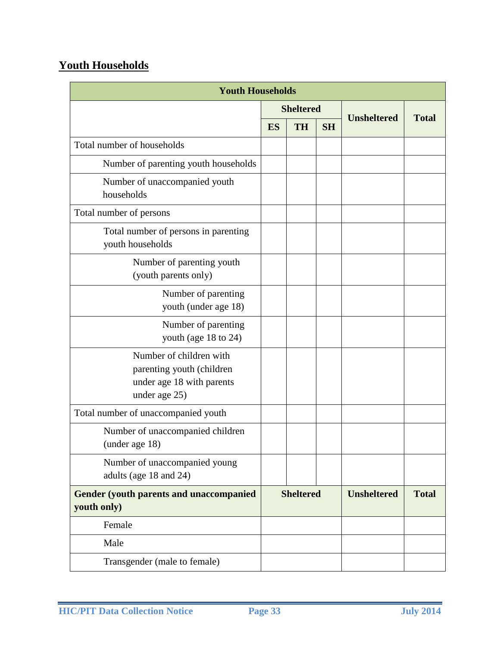# **Youth Households**

| <b>Youth Households</b>                                                                            |                  |           |                    |                    |              |
|----------------------------------------------------------------------------------------------------|------------------|-----------|--------------------|--------------------|--------------|
|                                                                                                    | <b>Sheltered</b> |           |                    |                    |              |
|                                                                                                    | ES               | <b>TH</b> | <b>SH</b>          | <b>Unsheltered</b> | <b>Total</b> |
| Total number of households                                                                         |                  |           |                    |                    |              |
| Number of parenting youth households                                                               |                  |           |                    |                    |              |
| Number of unaccompanied youth<br>households                                                        |                  |           |                    |                    |              |
| Total number of persons                                                                            |                  |           |                    |                    |              |
| Total number of persons in parenting<br>youth households                                           |                  |           |                    |                    |              |
| Number of parenting youth<br>(youth parents only)                                                  |                  |           |                    |                    |              |
| Number of parenting<br>youth (under age 18)                                                        |                  |           |                    |                    |              |
| Number of parenting<br>youth (age 18 to 24)                                                        |                  |           |                    |                    |              |
| Number of children with<br>parenting youth (children<br>under age 18 with parents<br>under age 25) |                  |           |                    |                    |              |
| Total number of unaccompanied youth                                                                |                  |           |                    |                    |              |
| Number of unaccompanied children<br>(under age 18)                                                 |                  |           |                    |                    |              |
| Number of unaccompanied young<br>adults (age 18 and 24)                                            |                  |           |                    |                    |              |
| <b>Gender (youth parents and unaccompanied)</b><br>youth only)                                     | <b>Sheltered</b> |           | <b>Unsheltered</b> | <b>Total</b>       |              |
| Female                                                                                             |                  |           |                    |                    |              |
| Male                                                                                               |                  |           |                    |                    |              |
| Transgender (male to female)                                                                       |                  |           |                    |                    |              |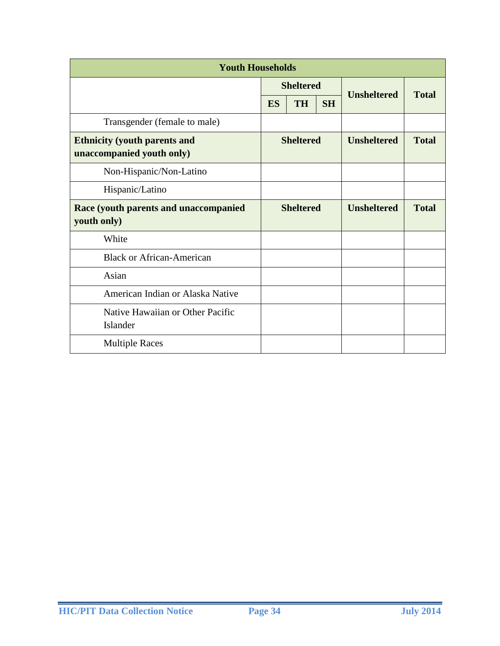| <b>Youth Households</b>                                          |                  |           |                    |                    |              |
|------------------------------------------------------------------|------------------|-----------|--------------------|--------------------|--------------|
|                                                                  | <b>Sheltered</b> |           |                    |                    |              |
|                                                                  | <b>ES</b>        | <b>TH</b> | <b>SH</b>          | <b>Unsheltered</b> | <b>Total</b> |
| Transgender (female to male)                                     |                  |           |                    |                    |              |
| <b>Ethnicity (youth parents and</b><br>unaccompanied youth only) | <b>Sheltered</b> |           | <b>Unsheltered</b> | <b>Total</b>       |              |
| Non-Hispanic/Non-Latino                                          |                  |           |                    |                    |              |
| Hispanic/Latino                                                  |                  |           |                    |                    |              |
| Race (youth parents and unaccompanied<br>youth only)             | <b>Sheltered</b> |           | <b>Unsheltered</b> | <b>Total</b>       |              |
| White                                                            |                  |           |                    |                    |              |
| <b>Black or African-American</b>                                 |                  |           |                    |                    |              |
| Asian                                                            |                  |           |                    |                    |              |
| American Indian or Alaska Native                                 |                  |           |                    |                    |              |
| Native Hawaiian or Other Pacific<br>Islander                     |                  |           |                    |                    |              |
| <b>Multiple Races</b>                                            |                  |           |                    |                    |              |